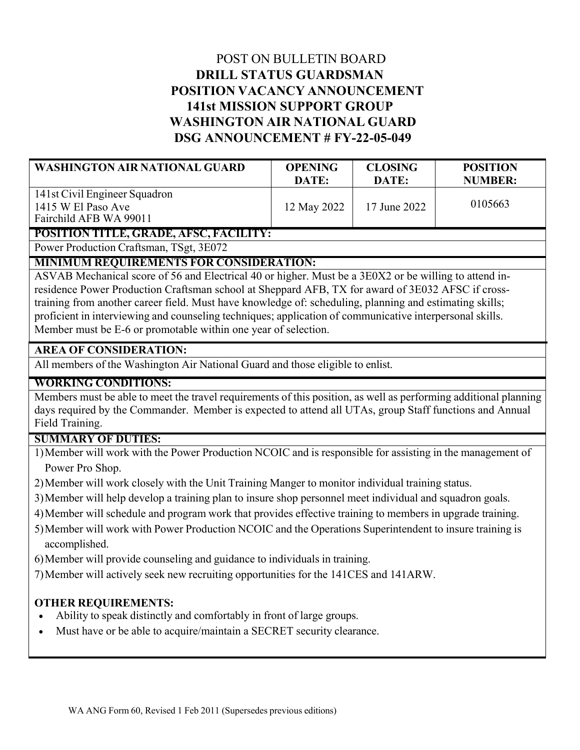# POST ON BULLETIN BOARD **DRILL STATUS GUARDSMAN POSITION VACANCY ANNOUNCEMENT 141st MISSION SUPPORT GROUP WASHINGTON AIR NATIONAL GUARD DSG ANNOUNCEMENT # FY-22-05-049**

| <b>WASHINGTON AIR NATIONAL GUARD</b>                                          | <b>OPENING</b> | <b>CLOSING</b> | <b>POSITION</b> |
|-------------------------------------------------------------------------------|----------------|----------------|-----------------|
|                                                                               | DATE:          | DATE:          | <b>NUMBER:</b>  |
| 141st Civil Engineer Squadron<br>1415 W El Paso Ave<br>Fairchild AFB WA 99011 | 12 May 2022    | 17 June 2022   | 0105663         |

**POSITION TITLE, GRADE, AFSC, FACILITY:**

Power Production Craftsman, TSgt, 3E072

### **MINIMUM REQUIREMENTS FOR CONSIDERATION:**

ASVAB Mechanical score of 56 and Electrical 40 or higher. Must be a 3E0X2 or be willing to attend inresidence Power Production Craftsman school at Sheppard AFB, TX for award of 3E032 AFSC if crosstraining from another career field. Must have knowledge of: scheduling, planning and estimating skills; proficient in interviewing and counseling techniques; application of communicative interpersonal skills. Member must be E-6 or promotable within one year of selection.

### **AREA OF CONSIDERATION:**

All members of the Washington Air National Guard and those eligible to enlist.

### **WORKING CONDITIONS:**

Members must be able to meet the travel requirements of this position, as well as performing additional planning days required by the Commander. Member is expected to attend all UTAs, group Staff functions and Annual Field Training.

### **SUMMARY OF DUTIES:**

- 1)Member will work with the Power Production NCOIC and is responsible for assisting in the management of Power Pro Shop.
- 2)Member will work closely with the Unit Training Manger to monitor individual training status.
- 3)Member will help develop a training plan to insure shop personnel meet individual and squadron goals.
- 4)Member will schedule and program work that provides effective training to members in upgrade training.
- 5)Member will work with Power Production NCOIC and the Operations Superintendent to insure training is accomplished.
- 6)Member will provide counseling and guidance to individuals in training.
- 7)Member will actively seek new recruiting opportunities for the 141CES and 141ARW.

## **OTHER REQUIREMENTS:**

- Ability to speak distinctly and comfortably in front of large groups.
- Must have or be able to acquire/maintain a SECRET security clearance.